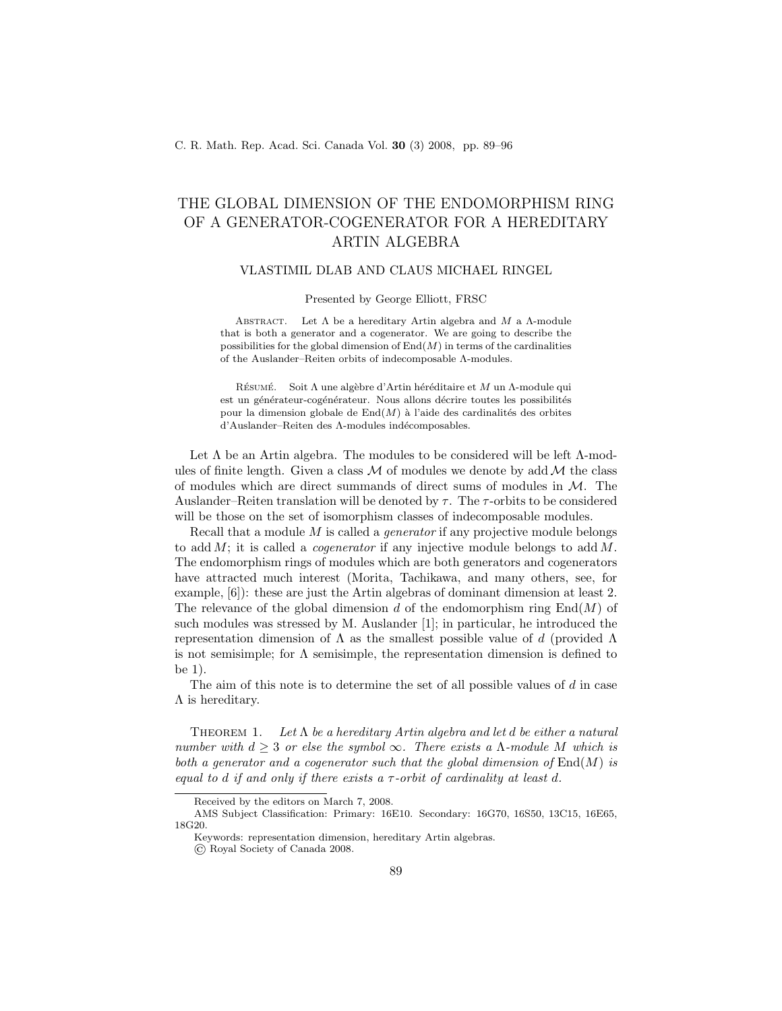## THE GLOBAL DIMENSION OF THE ENDOMORPHISM RING OF A GENERATOR-COGENERATOR FOR A HEREDITARY ARTIN ALGEBRA

## VLASTIMIL DLAB AND CLAUS MICHAEL RINGEL

Presented by George Elliott, FRSC

ABSTRACT. Let  $\Lambda$  be a hereditary Artin algebra and  $M$  a  $\Lambda$ -module that is both a generator and a cogenerator. We are going to describe the possibilities for the global dimension of  $End(M)$  in terms of the cardinalities of the Auslander–Reiten orbits of indecomposable Λ-modules.

RÉSUMÉ. Soit Λ une algèbre d'Artin héréditaire et M un Λ-module qui est un générateur-cogénérateur. Nous allons décrire toutes les possibilités pour la dimension globale de  $\text{End}(M)$  à l'aide des cardinalités des orbites d'Auslander–Reiten des Λ-modules indécomposables.

Let  $\Lambda$  be an Artin algebra. The modules to be considered will be left  $\Lambda$ -modules of finite length. Given a class  $M$  of modules we denote by add  $M$  the class of modules which are direct summands of direct sums of modules in  $M$ . The Auslander–Reiten translation will be denoted by  $\tau$ . The  $\tau$ -orbits to be considered will be those on the set of isomorphism classes of indecomposable modules.

Recall that a module M is called a *generator* if any projective module belongs to add  $M$ ; it is called a *cogenerator* if any injective module belongs to add  $M$ . The endomorphism rings of modules which are both generators and cogenerators have attracted much interest (Morita, Tachikawa, and many others, see, for example, [6]): these are just the Artin algebras of dominant dimension at least 2. The relevance of the global dimension d of the endomorphism ring  $End(M)$  of such modules was stressed by M. Auslander [1]; in particular, he introduced the representation dimension of  $\Lambda$  as the smallest possible value of d (provided  $\Lambda$ is not semisimple; for  $\Lambda$  semisimple, the representation dimension is defined to be 1).

The aim of this note is to determine the set of all possible values of  $d$  in case  $Λ$  is hereditary.

THEOREM 1. Let  $\Lambda$  be a hereditary Artin algebra and let d be either a natural number with  $d > 3$  or else the symbol  $\infty$ . There exists a  $\Lambda$ -module M which is both a generator and a cogenerator such that the global dimension of  $\text{End}(M)$  is equal to d if and only if there exists a  $\tau$ -orbit of cardinality at least d.

Received by the editors on March 7, 2008.

AMS Subject Classification: Primary: 16E10. Secondary: 16G70, 16S50, 13C15, 16E65, 18G20.

Keywords: representation dimension, hereditary Artin algebras.

<sup>©</sup> Royal Society of Canada 2008.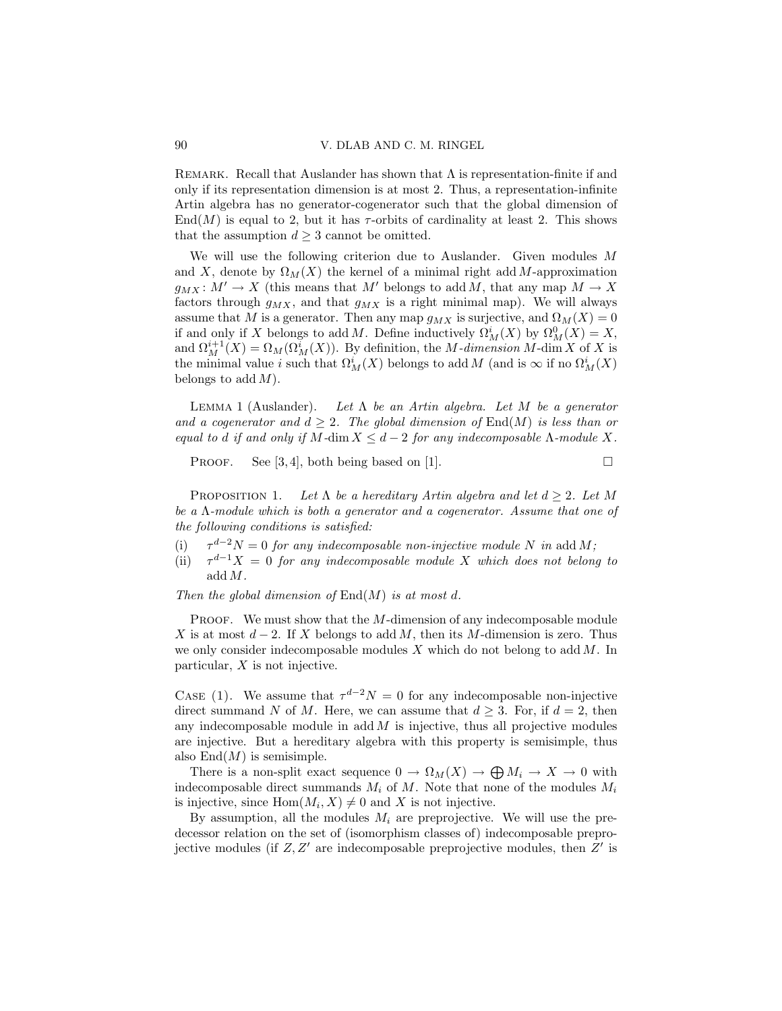REMARK. Recall that Auslander has shown that  $\Lambda$  is representation-finite if and only if its representation dimension is at most 2. Thus, a representation-infinite Artin algebra has no generator-cogenerator such that the global dimension of End(M) is equal to 2, but it has  $\tau$ -orbits of cardinality at least 2. This shows that the assumption  $d \geq 3$  cannot be omitted.

We will use the following criterion due to Auslander. Given modules M and X, denote by  $\Omega_M(X)$  the kernel of a minimal right add M-approximation  $g_{MX}: M' \to X$  (this means that M' belongs to add M, that any map  $M \to X$ factors through  $g_{MX}$ , and that  $g_{MX}$  is a right minimal map). We will always assume that M is a generator. Then any map  $g_{MX}$  is surjective, and  $\Omega_M(X) = 0$ if and only if X belongs to add M. Define inductively  $\Omega_M^i(X)$  by  $\Omega_M^0(X) = X$ , and  $\Omega_M^{i+1}(X) = \Omega_M(\Omega_M^i(X))$ . By definition, the *M*-dimension *M*-dim *X* of *X* is the minimal value *i* such that  $\Omega^i_M(X)$  belongs to add M (and is  $\infty$  if no  $\Omega^i_M(X)$ ) belongs to add  $M$ ).

LEMMA 1 (Auslander). Let  $\Lambda$  be an Artin algebra. Let M be a generator and a cogenerator and  $d \geq 2$ . The global dimension of End(M) is less than or equal to d if and only if M-dim  $X \leq d-2$  for any indecomposable  $\Lambda$ -module X.

PROOF. See [3,4], both being based on [1].  $\Box$ 

PROPOSITION 1. Let  $\Lambda$  be a hereditary Artin algebra and let  $d \geq 2$ . Let M be a Λ-module which is both a generator and a cogenerator. Assume that one of the following conditions is satisfied:

- $(i)$  $\tau^{d-2}N = 0$  for any indecomposable non-injective module N in add M;
- $(ii)$  $\tau^{d-1}X = 0$  for any indecomposable module X which does not belong to add M.

Then the global dimension of  $\text{End}(M)$  is at most d.

PROOF. We must show that the M-dimension of any indecomposable module X is at most  $d-2$ . If X belongs to add M, then its M-dimension is zero. Thus we only consider indecomposable modules  $X$  which do not belong to add  $M$ . In particular,  $X$  is not injective.

CASE (1). We assume that  $\tau^{d-2}N = 0$  for any indecomposable non-injective direct summand N of M. Here, we can assume that  $d > 3$ . For, if  $d = 2$ , then any indecomposable module in  $\text{add } M$  is injective, thus all projective modules are injective. But a hereditary algebra with this property is semisimple, thus also  $\text{End}(M)$  is semisimple.

There is a non-split exact sequence  $0 \to \Omega_M(X) \to \bigoplus M_i \to X \to 0$  with indecomposable direct summands  $M_i$  of M. Note that none of the modules  $M_i$ is injective, since  $Hom(M_i, X) \neq 0$  and X is not injective.

By assumption, all the modules  $M_i$  are preprojective. We will use the predecessor relation on the set of (isomorphism classes of) indecomposable preprojective modules (if  $Z, Z'$  are indecomposable preprojective modules, then  $Z'$  is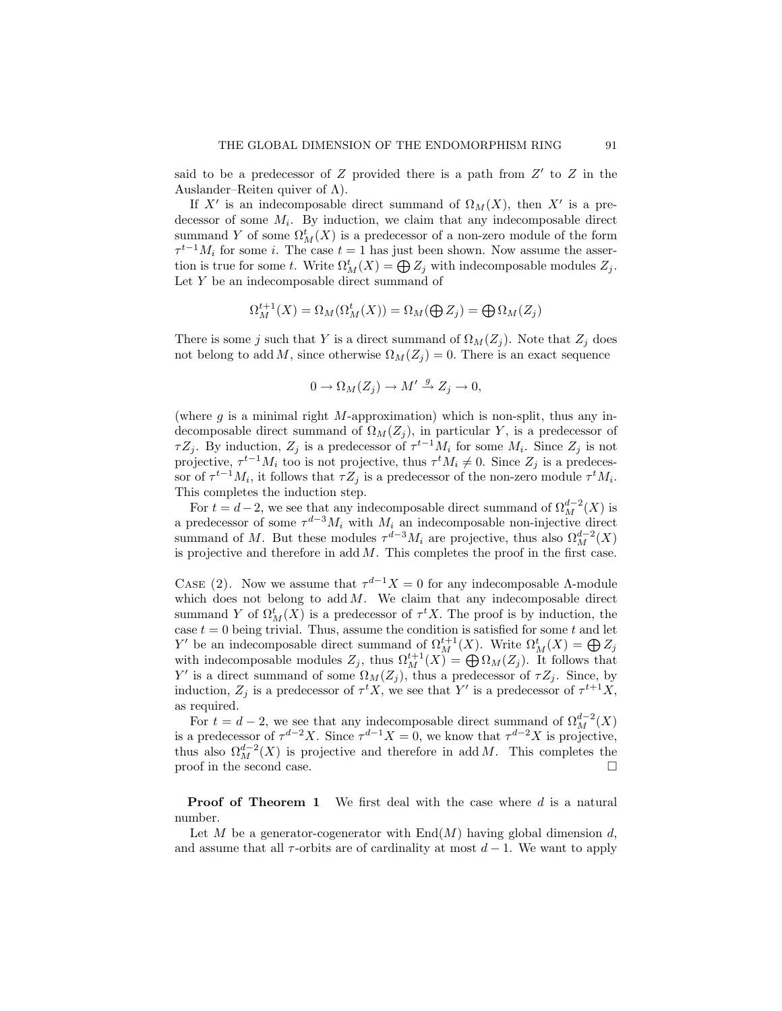said to be a predecessor of  $Z$  provided there is a path from  $Z'$  to  $Z$  in the Auslander–Reiten quiver of  $\Lambda$ ).

If X' is an indecomposable direct summand of  $\Omega_M(X)$ , then X' is a predecessor of some  $M_i$ . By induction, we claim that any indecomposable direct summand Y of some  $\Omega_M^t(X)$  is a predecessor of a non-zero module of the form  $\tau^{t-1}M_i$  for some i. The case  $t=1$  has just been shown. Now assume the assertion is true for some t. Write  $\Omega_M^t(X) = \bigoplus Z_j$  with indecomposable modules  $Z_j$ . Let Y be an indecomposable direct summand of

$$
\Omega^{t+1}_M(X)=\Omega_M(\Omega^t_M(X))=\Omega_M(\bigoplus Z_j)=\bigoplus \Omega_M(Z_j)
$$

There is some j such that Y is a direct summand of  $\Omega_M(Z_j)$ . Note that  $Z_j$  does not belong to add M, since otherwise  $\Omega_M(Z_i) = 0$ . There is an exact sequence

$$
0 \to \Omega_M(Z_j) \to M' \stackrel{g}{\to} Z_j \to 0,
$$

(where  $g$  is a minimal right M-approximation) which is non-split, thus any indecomposable direct summand of  $\Omega_M(Z_j)$ , in particular Y, is a predecessor of  $\tau Z_j$ . By induction,  $Z_j$  is a predecessor of  $\tau^{t-1} M_i$  for some  $M_i$ . Since  $Z_j$  is not projective,  $\tau^{t-1} M_i$  too is not projective, thus  $\tau^t M_i \neq 0$ . Since  $Z_j$  is a predecessor of  $\tau^{t-1}M_i$ , it follows that  $\tau Z_j$  is a predecessor of the non-zero module  $\tau^t M_i$ . This completes the induction step.

For  $t = d-2$ , we see that any indecomposable direct summand of  $\Omega_M^{d-2}(X)$  is a predecessor of some  $\tau^{d-3}M_i$  with  $M_i$  an indecomposable non-injective direct summand of M. But these modules  $\tau^{d-3}M_i$  are projective, thus also  $\Omega_M^{d-2}(X)$ is projective and therefore in  $\text{add } M$ . This completes the proof in the first case.

CASE (2). Now we assume that  $\tau^{d-1}X = 0$  for any indecomposable  $\Lambda$ -module which does not belong to  $\text{add } M$ . We claim that any indecomposable direct summand Y of  $\Omega^t_M(X)$  is a predecessor of  $\tau^t X$ . The proof is by induction, the case  $t = 0$  being trivial. Thus, assume the condition is satisfied for some  $t$  and let Y' be an indecomposable direct summand of  $\Omega_M^{t+1}(X)$ . Write  $\Omega_M^t(X) = \bigoplus Z_j$ with indecomposable modules  $Z_j$ , thus  $\Omega_M^{t+1}(X) = \bigoplus \Omega_M(Z_j)$ . It follows that Y' is a direct summand of some  $\Omega_M(Z_j)$ , thus a predecessor of  $\tau Z_j$ . Since, by induction,  $Z_j$  is a predecessor of  $\tau^t X$ , we see that Y' is a predecessor of  $\tau^{t+1} X$ , as required.

For  $t = d - 2$ , we see that any indecomposable direct summand of  $\Omega_M^{d-2}(X)$ is a predecessor of  $\tau^{d-2}X$ . Since  $\tau^{d-1}X = 0$ , we know that  $\tau^{d-2}X$  is projective, thus also  $\Omega_M^{d-2}(X)$  is projective and therefore in add M. This completes the proof in the second case.  $\Box$ 

**Proof of Theorem 1** We first deal with the case where  $d$  is a natural number.

Let M be a generator-cogenerator with  $End(M)$  having global dimension d, and assume that all  $\tau$ -orbits are of cardinality at most  $d-1$ . We want to apply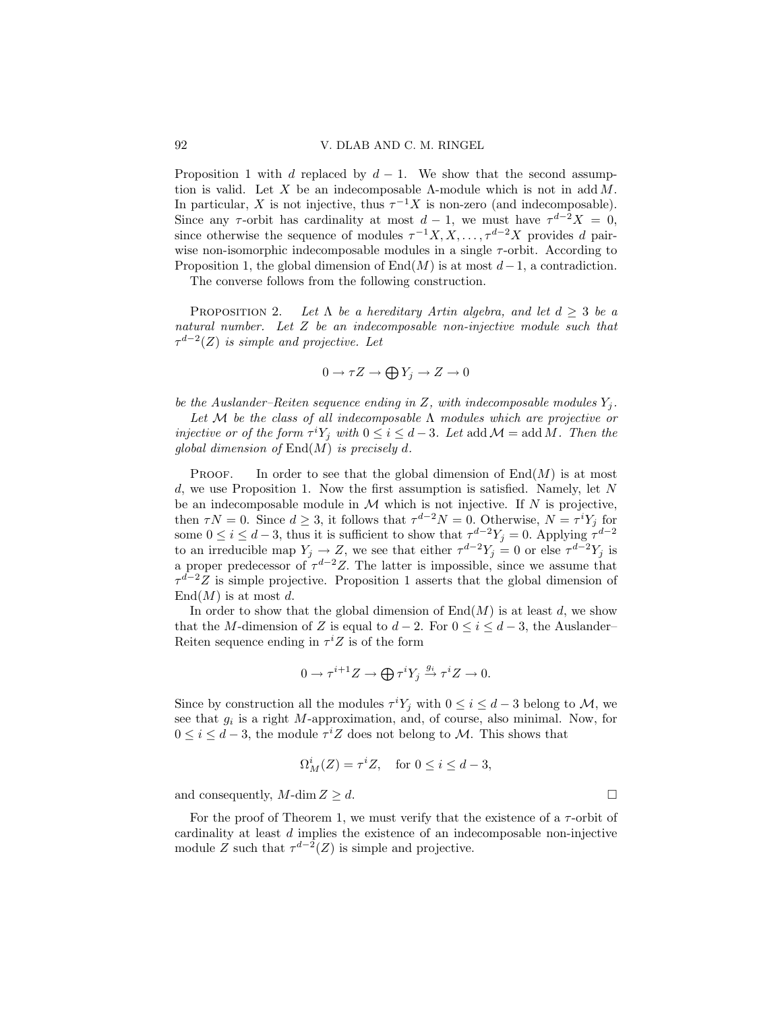Proposition 1 with d replaced by  $d-1$ . We show that the second assumption is valid. Let X be an indecomposable  $\Lambda$ -module which is not in add  $M$ . In particular, X is not injective, thus  $\tau^{-1}X$  is non-zero (and indecomposable). Since any  $\tau$ -orbit has cardinality at most  $d-1$ , we must have  $\tau^{d-2}X = 0$ , since otherwise the sequence of modules  $\tau^{-1}X, X, \ldots, \tau^{d-2}X$  provides d pairwise non-isomorphic indecomposable modules in a single  $\tau$ -orbit. According to Proposition 1, the global dimension of End $(M)$  is at most  $d-1$ , a contradiction.

The converse follows from the following construction.

PROPOSITION 2. Let  $\Lambda$  be a hereditary Artin algebra, and let  $d \geq 3$  be a natural number. Let Z be an indecomposable non-injective module such that  $\tau^{d-2}(Z)$  is simple and projective. Let

$$
0 \to \tau Z \to \bigoplus Y_j \to Z \to 0
$$

be the Auslander–Reiten sequence ending in Z, with indecomposable modules  $Y_i$ .

Let M be the class of all indecomposable  $\Lambda$  modules which are projective or injective or of the form  $\tau^i Y_j$  with  $0 \leq i \leq d-3$ . Let add  $\mathcal{M} = \text{add } M$ . Then the global dimension of  $\text{End}(M)$  is precisely d.

**PROOF.** In order to see that the global dimension of  $End(M)$  is at most  $d$ , we use Proposition 1. Now the first assumption is satisfied. Namely, let N be an indecomposable module in  $M$  which is not injective. If  $N$  is projective, then  $\tau N = 0$ . Since  $d \geq 3$ , it follows that  $\tau^{d-2} N = 0$ . Otherwise,  $N = \tau^{i} Y_{j}$  for some  $0 \le i \le d-3$ , thus it is sufficient to show that  $\tau^{d-2}Y_j = 0$ . Applying  $\tau^{d-2}$ to an irreducible map  $Y_j \to Z$ , we see that either  $\tau^{d-2} Y_j = 0$  or else  $\tau^{d-2} Y_j$  is a proper predecessor of  $\tau^{d-2}Z$ . The latter is impossible, since we assume that  $\tau^{\tilde{d}-2}\tilde{Z}$  is simple projective. Proposition 1 asserts that the global dimension of  $\text{End}(M)$  is at most d.

In order to show that the global dimension of  $End(M)$  is at least d, we show that the M-dimension of Z is equal to  $d-2$ . For  $0 \leq i \leq d-3$ , the Auslander– Reiten sequence ending in  $\tau^i Z$  is of the form

$$
0 \to \tau^{i+1} Z \to \bigoplus \tau^i Y_j \xrightarrow{g_i} \tau^i Z \to 0.
$$

Since by construction all the modules  $\tau^i Y_j$  with  $0 \leq i \leq d-3$  belong to M, we see that  $g_i$  is a right M-approximation, and, of course, also minimal. Now, for  $0 \leq i \leq d-3$ , the module  $\tau^i Z$  does not belong to M. This shows that

$$
\Omega^i_M(Z) = \tau^i Z, \quad \text{for } 0 \le i \le d - 3,
$$

and consequently,  $M$ -dim  $Z \geq d$ .

For the proof of Theorem 1, we must verify that the existence of a  $\tau$ -orbit of cardinality at least d implies the existence of an indecomposable non-injective module Z such that  $\tau^{d-2}(Z)$  is simple and projective.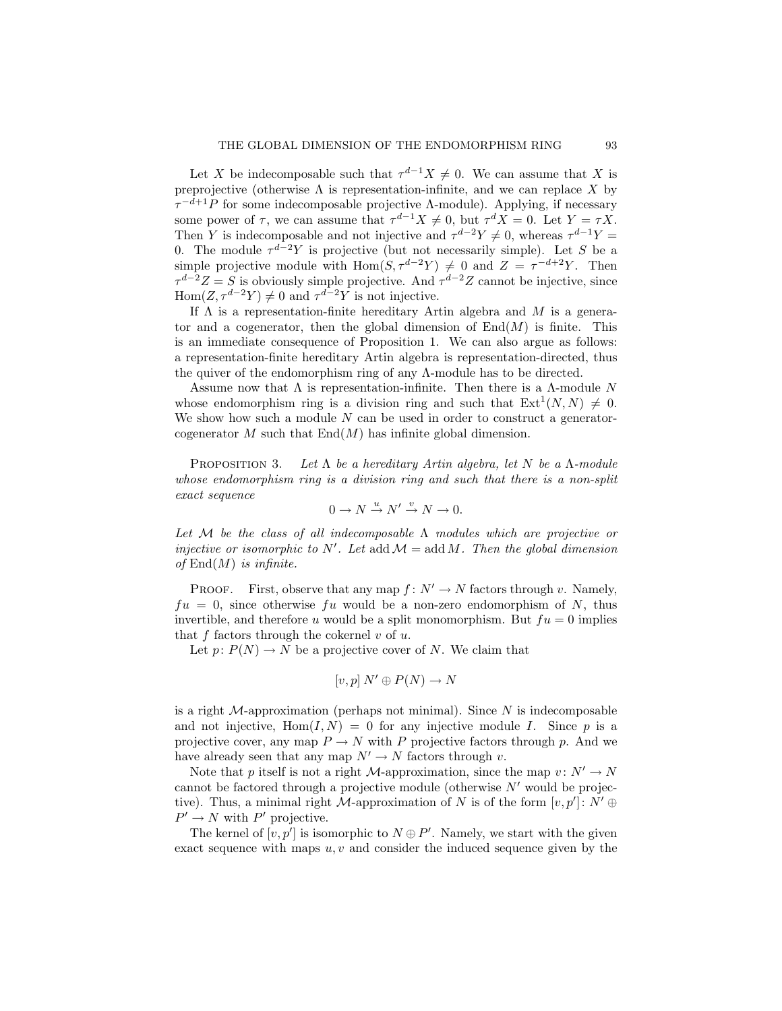Let X be indecomposable such that  $\tau^{d-1}X \neq 0$ . We can assume that X is preprojective (otherwise  $\Lambda$  is representation-infinite, and we can replace X by  $\tau^{-d+1}P$  for some indecomposable projective A-module). Applying, if necessary some power of  $\tau$ , we can assume that  $\tau^{d-1}X \neq 0$ , but  $\tau^dX = 0$ . Let  $Y = \tau X$ . Then Y is indecomposable and not injective and  $\tau^{d-2}Y \neq 0$ , whereas  $\tau^{d-1}Y =$ 0. The module  $\tau^{d-2}Y$  is projective (but not necessarily simple). Let S be a simple projective module with Hom( $S, \tau^{d-2}Y$ )  $\neq 0$  and  $Z = \tau^{-d+2}Y$ . Then  $\tau^{d-2}Z = S$  is obviously simple projective. And  $\tau^{d-2}Z$  cannot be injective, since Hom $(Z, \tau^{d-2}Y) \neq 0$  and  $\tau^{d-2}Y$  is not injective.

If  $\Lambda$  is a representation-finite hereditary Artin algebra and M is a generator and a cogenerator, then the global dimension of  $\text{End}(M)$  is finite. This is an immediate consequence of Proposition 1. We can also argue as follows: a representation-finite hereditary Artin algebra is representation-directed, thus the quiver of the endomorphism ring of any Λ-module has to be directed.

Assume now that  $\Lambda$  is representation-infinite. Then there is a  $\Lambda$ -module N whose endomorphism ring is a division ring and such that  $Ext<sup>1</sup>(N, N) \neq 0$ . We show how such a module  $N$  can be used in order to construct a generatorcogenerator M such that  $End(M)$  has infinite global dimension.

PROPOSITION 3. Let  $\Lambda$  be a hereditary Artin algebra, let N be a  $\Lambda$ -module whose endomorphism ring is a division ring and such that there is a non-split exact sequence

$$
0 \to N \xrightarrow{u} N' \xrightarrow{v} N \to 0.
$$

Let M be the class of all indecomposable  $\Lambda$  modules which are projective or injective or isomorphic to  $N'$ . Let  $\text{add } \mathcal{M} = \text{add } M$ . Then the global dimension of  $End(M)$  is infinite.

PROOF. First, observe that any map  $f: N' \to N$  factors through v. Namely,  $fu = 0$ , since otherwise fu would be a non-zero endomorphism of N, thus invertible, and therefore u would be a split monomorphism. But  $fu = 0$  implies that f factors through the cokernel  $v$  of  $u$ .

Let  $p: P(N) \to N$  be a projective cover of N. We claim that

$$
[v, p] \, N' \oplus P(N) \to N
$$

is a right  $M$ -approximation (perhaps not minimal). Since N is indecomposable and not injective,  $\text{Hom}(I,N) = 0$  for any injective module I. Since p is a projective cover, any map  $P \to N$  with P projective factors through p. And we have already seen that any map  $N' \to N$  factors through v.

Note that p itself is not a right M-approximation, since the map  $v: N' \to N$ cannot be factored through a projective module (otherwise  $N'$  would be projective). Thus, a minimal right  $\tilde{M}$ -approximation of N is of the form  $[v, p'] : N' \oplus$  $P' \rightarrow N$  with P' projective.

The kernel of  $[v, p']$  is isomorphic to  $N \oplus P'$ . Namely, we start with the given exact sequence with maps  $u, v$  and consider the induced sequence given by the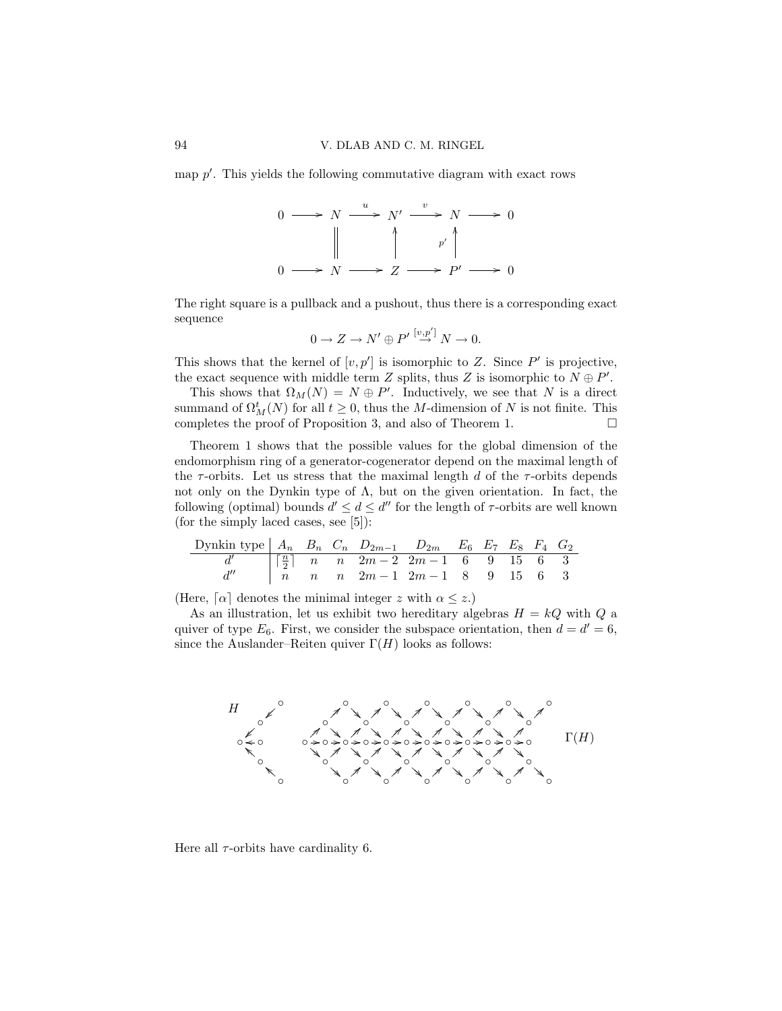map  $p'$ . This yields the following commutative diagram with exact rows



The right square is a pullback and a pushout, thus there is a corresponding exact sequence

$$
0 \to Z \to N' \oplus P' \stackrel{[v,p']} \to N \to 0.
$$

This shows that the kernel of  $[v, p']$  is isomorphic to Z. Since  $P'$  is projective, the exact sequence with middle term Z splits, thus Z is isomorphic to  $N \oplus P'$ .

This shows that  $\Omega_M(N) = N \oplus P'$ . Inductively, we see that N is a direct summand of  $\Omega_M^t(N)$  for all  $t \geq 0$ , thus the M-dimension of N is not finite. This completes the proof of Proposition 3, and also of Theorem 1.  $\Box$ 

Theorem 1 shows that the possible values for the global dimension of the endomorphism ring of a generator-cogenerator depend on the maximal length of the  $\tau$ -orbits. Let us stress that the maximal length d of the  $\tau$ -orbits depends not only on the Dynkin type of  $\Lambda$ , but on the given orientation. In fact, the following (optimal) bounds  $d' \leq d \leq d''$  for the length of  $\tau$ -orbits are well known (for the simply laced cases, see [5]):

Dynkin type A<sup>n</sup> B<sup>n</sup> C<sup>n</sup> D2m−<sup>1</sup> D2<sup>m</sup> E<sup>6</sup> E<sup>7</sup> E<sup>8</sup> F<sup>4</sup> G<sup>2</sup> d ′ ⌈ n 2 ⌉ n n 2m − 2 2m − 1 6 9 15 6 3 d ′′ n n n 2m − 1 2m − 1 8 9 15 6 3

(Here,  $\lceil \alpha \rceil$  denotes the minimal integer z with  $\alpha \leq z$ .)

As an illustration, let us exhibit two hereditary algebras  $H = kQ$  with Q a quiver of type  $E_6$ . First, we consider the subspace orientation, then  $d = d' = 6$ , since the Auslander–Reiten quiver  $\Gamma(H)$  looks as follows:



Here all  $\tau$ -orbits have cardinality 6.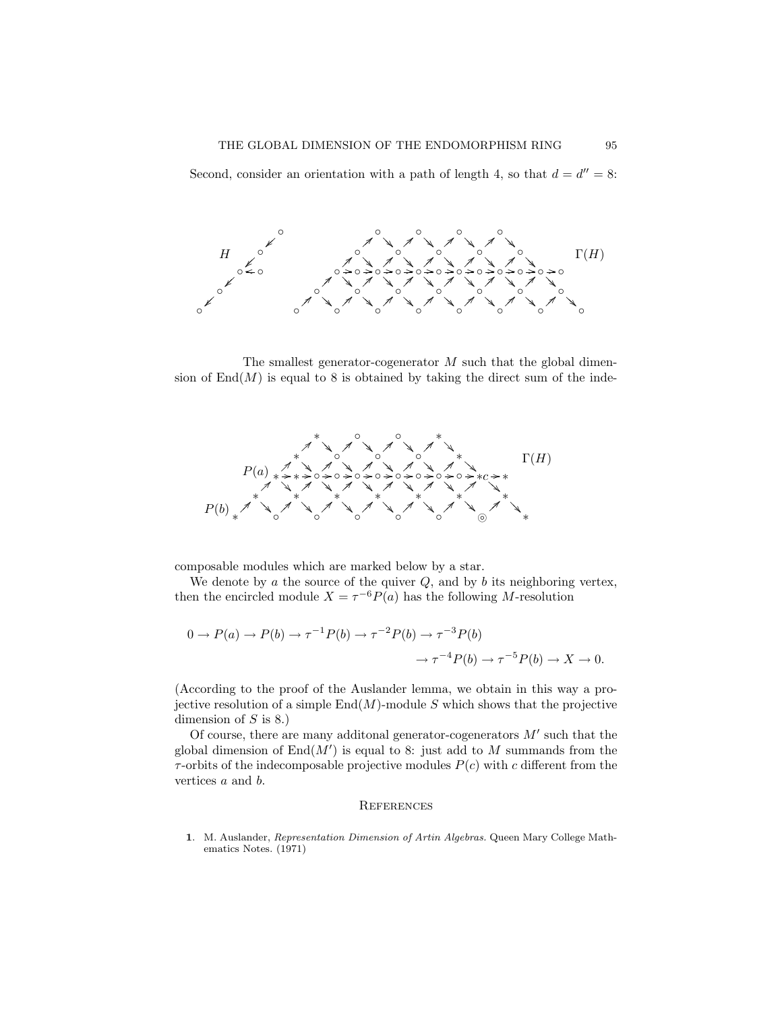Second, consider an orientation with a path of length 4, so that  $d = d'' = 8$ :



The smallest generator-cogenerator  $M$  such that the global dimension of  $\text{End}(M)$  is equal to 8 is obtained by taking the direct sum of the inde-



composable modules which are marked below by a star.

We denote by  $a$  the source of the quiver  $Q$ , and by  $b$  its neighboring vertex, then the encircled module  $X = \tau^{-6} P(a)$  has the following M-resolution

$$
0 \to P(a) \to P(b) \to \tau^{-1}P(b) \to \tau^{-2}P(b) \to \tau^{-3}P(b) \to \tau^{-5}P(b) \to X \to 0.
$$

(According to the proof of the Auslander lemma, we obtain in this way a projective resolution of a simple  $\text{End}(M)$ -module S which shows that the projective dimension of  $S$  is 8.)

Of course, there are many additional generator-cogenerators  $M'$  such that the global dimension of  $\text{End}(M')$  is equal to 8: just add to M summands from the  $\tau$ -orbits of the indecomposable projective modules  $P(c)$  with c different from the vertices a and b.

## **REFERENCES**

1. M. Auslander, Representation Dimension of Artin Algebras. Queen Mary College Mathematics Notes. (1971)